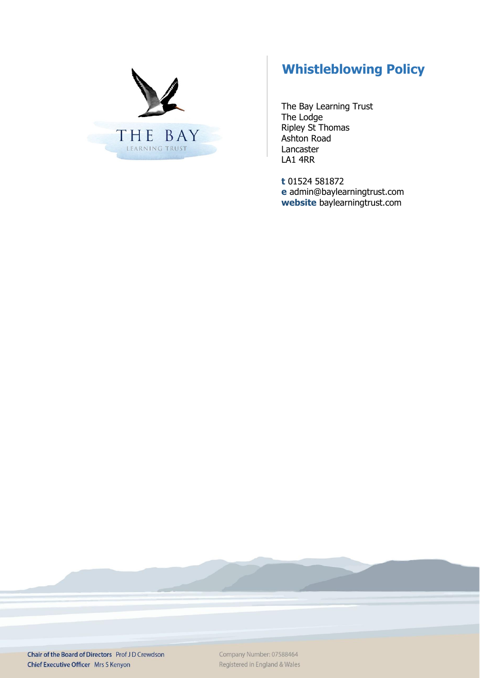

# **Whistleblowing Policy**

The Bay Learning Trust The Lodge Ripley St Thomas Ashton Road Lancaster LA1 4RR

**t** 01524 581872 **e** admin@baylearningtrust.com **website** [baylearningtrust.com](http://www.ripleystthomas.com/)

Chair of the Board of Directors Prof JD Crewdson Chief Executive Officer Mrs S Kenyon

Company Number: 07588464 Registered in England & Wales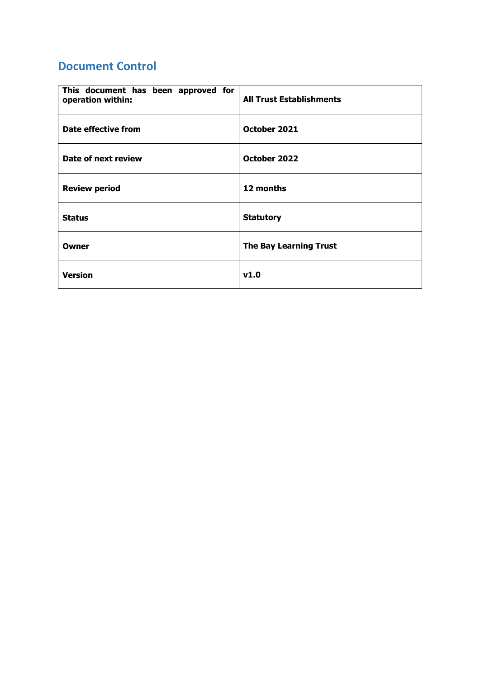## **Document Control**

| This document has been approved for<br>operation within: | <b>All Trust Establishments</b> |
|----------------------------------------------------------|---------------------------------|
| <b>Date effective from</b>                               | October 2021                    |
| Date of next review                                      | October 2022                    |
| <b>Review period</b>                                     | 12 months                       |
| <b>Status</b>                                            | <b>Statutory</b>                |
| Owner                                                    | <b>The Bay Learning Trust</b>   |
| <b>Version</b>                                           | v1.0                            |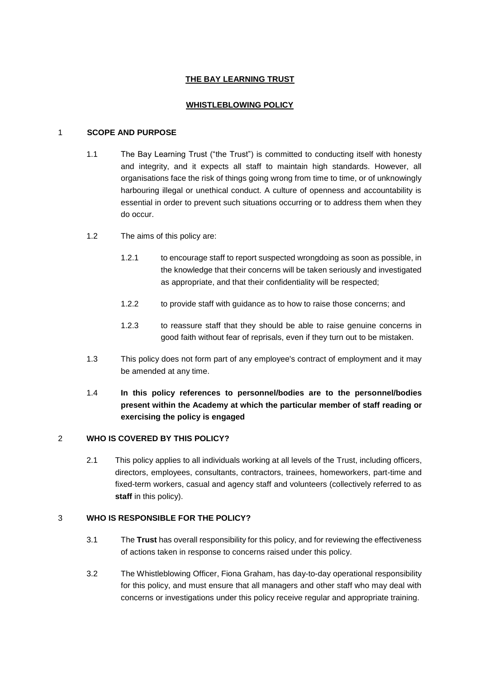#### **THE BAY LEARNING TRUST**

#### **WHISTLEBLOWING POLICY**

#### 1 **SCOPE AND PURPOSE**

- 1.1 The Bay Learning Trust ("the Trust") is committed to conducting itself with honesty and integrity, and it expects all staff to maintain high standards. However, all organisations face the risk of things going wrong from time to time, or of unknowingly harbouring illegal or unethical conduct. A culture of openness and accountability is essential in order to prevent such situations occurring or to address them when they do occur.
- 1.2 The aims of this policy are:
	- 1.2.1 to encourage staff to report suspected wrongdoing as soon as possible, in the knowledge that their concerns will be taken seriously and investigated as appropriate, and that their confidentiality will be respected;
	- 1.2.2 to provide staff with guidance as to how to raise those concerns; and
	- 1.2.3 to reassure staff that they should be able to raise genuine concerns in good faith without fear of reprisals, even if they turn out to be mistaken.
- 1.3 This policy does not form part of any employee's contract of employment and it may be amended at any time.

### 1.4 **In this policy references to personnel/bodies are to the personnel/bodies present within the Academy at which the particular member of staff reading or exercising the policy is engaged**

#### 2 **WHO IS COVERED BY THIS POLICY?**

2.1 This policy applies to all individuals working at all levels of the Trust, including officers, directors, employees, consultants, contractors, trainees, homeworkers, part-time and fixed-term workers, casual and agency staff and volunteers (collectively referred to as **staff** in this policy).

#### 3 **WHO IS RESPONSIBLE FOR THE POLICY?**

- 3.1 The **Trust** has overall responsibility for this policy, and for reviewing the effectiveness of actions taken in response to concerns raised under this policy.
- 3.2 The Whistleblowing Officer, Fiona Graham, has day-to-day operational responsibility for this policy, and must ensure that all managers and other staff who may deal with concerns or investigations under this policy receive regular and appropriate training.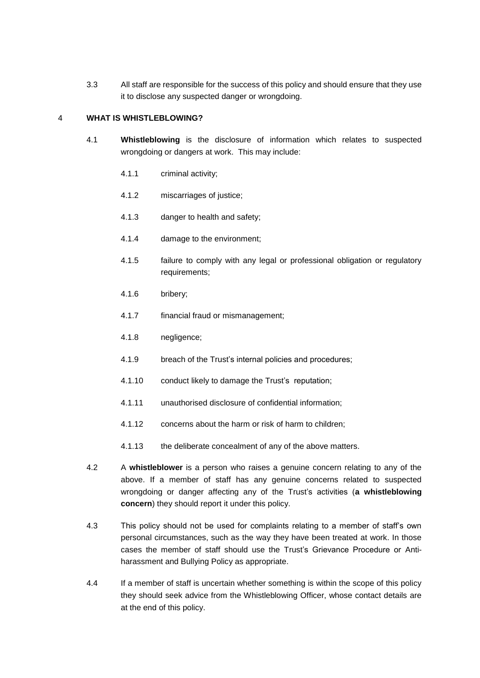3.3 All staff are responsible for the success of this policy and should ensure that they use it to disclose any suspected danger or wrongdoing.

#### 4 **WHAT IS WHISTLEBLOWING?**

- 4.1 **Whistleblowing** is the disclosure of information which relates to suspected wrongdoing or dangers at work. This may include:
	- 4.1.1 criminal activity;
	- 4.1.2 miscarriages of justice;
	- 4.1.3 danger to health and safety;
	- 4.1.4 damage to the environment;
	- 4.1.5 failure to comply with any legal or professional obligation or regulatory requirements;
	- 4.1.6 bribery;
	- 4.1.7 financial fraud or mismanagement;
	- 4.1.8 negligence;
	- 4.1.9 breach of the Trust's internal policies and procedures;
	- 4.1.10 conduct likely to damage the Trust's reputation;
	- 4.1.11 unauthorised disclosure of confidential information;
	- 4.1.12 concerns about the harm or risk of harm to children;
	- 4.1.13 the deliberate concealment of any of the above matters.
- 4.2 A **whistleblower** is a person who raises a genuine concern relating to any of the above. If a member of staff has any genuine concerns related to suspected wrongdoing or danger affecting any of the Trust's activities (**a whistleblowing concern**) they should report it under this policy.
- 4.3 This policy should not be used for complaints relating to a member of staff's own personal circumstances, such as the way they have been treated at work. In those cases the member of staff should use the Trust's Grievance Procedure or Antiharassment and Bullying Policy as appropriate.
- 4.4 If a member of staff is uncertain whether something is within the scope of this policy they should seek advice from the Whistleblowing Officer, whose contact details are at the end of this policy.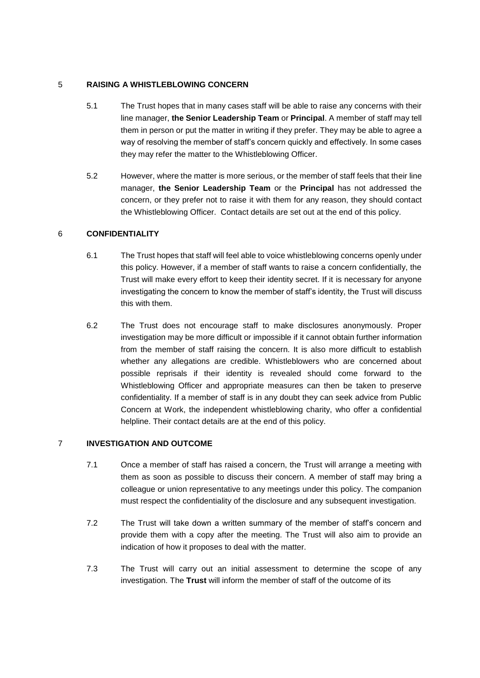#### 5 **RAISING A WHISTLEBLOWING CONCERN**

- 5.1 The Trust hopes that in many cases staff will be able to raise any concerns with their line manager, **the Senior Leadership Team** or **Principal**. A member of staff may tell them in person or put the matter in writing if they prefer. They may be able to agree a way of resolving the member of staff's concern quickly and effectively. In some cases they may refer the matter to the Whistleblowing Officer.
- 5.2 However, where the matter is more serious, or the member of staff feels that their line manager, **the Senior Leadership Team** or the **Principal** has not addressed the concern, or they prefer not to raise it with them for any reason, they should contact the Whistleblowing Officer. Contact details are set out at the end of this policy.

#### 6 **CONFIDENTIALITY**

- 6.1 The Trust hopes that staff will feel able to voice whistleblowing concerns openly under this policy. However, if a member of staff wants to raise a concern confidentially, the Trust will make every effort to keep their identity secret. If it is necessary for anyone investigating the concern to know the member of staff's identity, the Trust will discuss this with them.
- 6.2 The Trust does not encourage staff to make disclosures anonymously. Proper investigation may be more difficult or impossible if it cannot obtain further information from the member of staff raising the concern. It is also more difficult to establish whether any allegations are credible. Whistleblowers who are concerned about possible reprisals if their identity is revealed should come forward to the Whistleblowing Officer and appropriate measures can then be taken to preserve confidentiality. If a member of staff is in any doubt they can seek advice from Public Concern at Work, the independent whistleblowing charity, who offer a confidential helpline. Their contact details are at the end of this policy.

#### 7 **INVESTIGATION AND OUTCOME**

- 7.1 Once a member of staff has raised a concern, the Trust will arrange a meeting with them as soon as possible to discuss their concern. A member of staff may bring a colleague or union representative to any meetings under this policy. The companion must respect the confidentiality of the disclosure and any subsequent investigation.
- 7.2 The Trust will take down a written summary of the member of staff's concern and provide them with a copy after the meeting. The Trust will also aim to provide an indication of how it proposes to deal with the matter.
- 7.3 The Trust will carry out an initial assessment to determine the scope of any investigation. The **Trust** will inform the member of staff of the outcome of its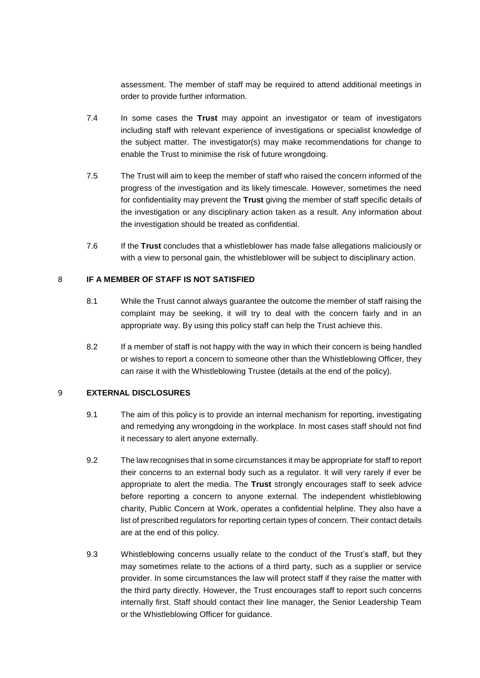assessment. The member of staff may be required to attend additional meetings in order to provide further information.

- 7.4 In some cases the **Trust** may appoint an investigator or team of investigators including staff with relevant experience of investigations or specialist knowledge of the subject matter. The investigator(s) may make recommendations for change to enable the Trust to minimise the risk of future wrongdoing.
- 7.5 The Trust will aim to keep the member of staff who raised the concern informed of the progress of the investigation and its likely timescale. However, sometimes the need for confidentiality may prevent the **Trust** giving the member of staff specific details of the investigation or any disciplinary action taken as a result. Any information about the investigation should be treated as confidential.
- 7.6 If the **Trust** concludes that a whistleblower has made false allegations maliciously or with a view to personal gain, the whistleblower will be subject to disciplinary action.

#### 8 **IF A MEMBER OF STAFF IS NOT SATISFIED**

- 8.1 While the Trust cannot always guarantee the outcome the member of staff raising the complaint may be seeking, it will try to deal with the concern fairly and in an appropriate way. By using this policy staff can help the Trust achieve this.
- 8.2 If a member of staff is not happy with the way in which their concern is being handled or wishes to report a concern to someone other than the Whistleblowing Officer, they can raise it with the Whistleblowing Trustee (details at the end of the policy).

#### 9 **EXTERNAL DISCLOSURES**

- 9.1 The aim of this policy is to provide an internal mechanism for reporting, investigating and remedying any wrongdoing in the workplace. In most cases staff should not find it necessary to alert anyone externally.
- 9.2 The law recognises that in some circumstances it may be appropriate for staff to report their concerns to an external body such as a regulator. It will very rarely if ever be appropriate to alert the media. The **Trust** strongly encourages staff to seek advice before reporting a concern to anyone external. The independent whistleblowing charity, Public Concern at Work, operates a confidential helpline. They also have a list of prescribed regulators for reporting certain types of concern. Their contact details are at the end of this policy.
- 9.3 Whistleblowing concerns usually relate to the conduct of the Trust's staff, but they may sometimes relate to the actions of a third party, such as a supplier or service provider. In some circumstances the law will protect staff if they raise the matter with the third party directly. However, the Trust encourages staff to report such concerns internally first. Staff should contact their line manager, the Senior Leadership Team or the Whistleblowing Officer for guidance.